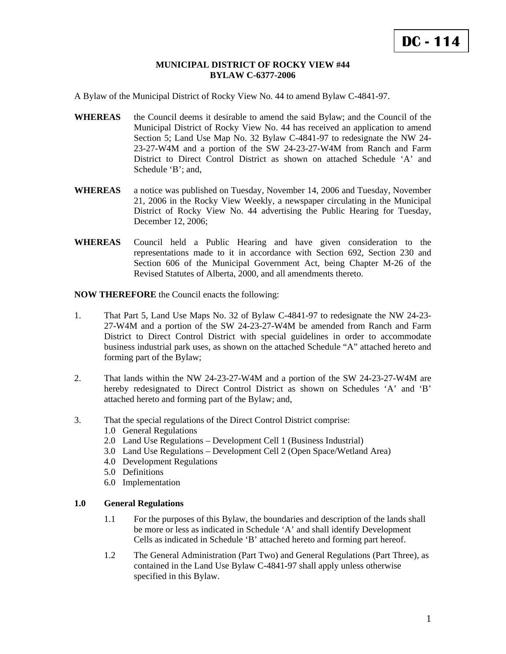#### **MUNICIPAL DISTRICT OF ROCKY VIEW #44 BYLAW C-6377-2006**

A Bylaw of the Municipal District of Rocky View No. 44 to amend Bylaw C-4841-97.

- **WHEREAS** the Council deems it desirable to amend the said Bylaw; and the Council of the Municipal District of Rocky View No. 44 has received an application to amend Section 5; Land Use Map No. 32 Bylaw C-4841-97 to redesignate the NW 24- 23-27-W4M and a portion of the SW 24-23-27-W4M from Ranch and Farm District to Direct Control District as shown on attached Schedule 'A' and Schedule 'B'; and,
- **WHEREAS** a notice was published on Tuesday, November 14, 2006 and Tuesday, November 21, 2006 in the Rocky View Weekly, a newspaper circulating in the Municipal District of Rocky View No. 44 advertising the Public Hearing for Tuesday, December 12, 2006;
- **WHEREAS** Council held a Public Hearing and have given consideration to the representations made to it in accordance with Section 692, Section 230 and Section 606 of the Municipal Government Act, being Chapter M-26 of the Revised Statutes of Alberta, 2000, and all amendments thereto.

**NOW THEREFORE** the Council enacts the following:

- 1. That Part 5, Land Use Maps No. 32 of Bylaw C-4841-97 to redesignate the NW 24-23- 27-W4M and a portion of the SW 24-23-27-W4M be amended from Ranch and Farm District to Direct Control District with special guidelines in order to accommodate business industrial park uses, as shown on the attached Schedule "A" attached hereto and forming part of the Bylaw;
- 2. That lands within the NW 24-23-27-W4M and a portion of the SW 24-23-27-W4M are hereby redesignated to Direct Control District as shown on Schedules 'A' and 'B' attached hereto and forming part of the Bylaw; and,
- 3. That the special regulations of the Direct Control District comprise:
	- 1.0 General Regulations
	- 2.0 Land Use Regulations Development Cell 1 (Business Industrial)
	- 3.0 Land Use Regulations Development Cell 2 (Open Space/Wetland Area)
	- 4.0 Development Regulations
	- 5.0 Definitions
	- 6.0 Implementation

# **1.0 General Regulations**

- 1.1 For the purposes of this Bylaw, the boundaries and description of the lands shall be more or less as indicated in Schedule 'A' and shall identify Development Cells as indicated in Schedule 'B' attached hereto and forming part hereof.
- 1.2 The General Administration (Part Two) and General Regulations (Part Three), as contained in the Land Use Bylaw C-4841-97 shall apply unless otherwise specified in this Bylaw.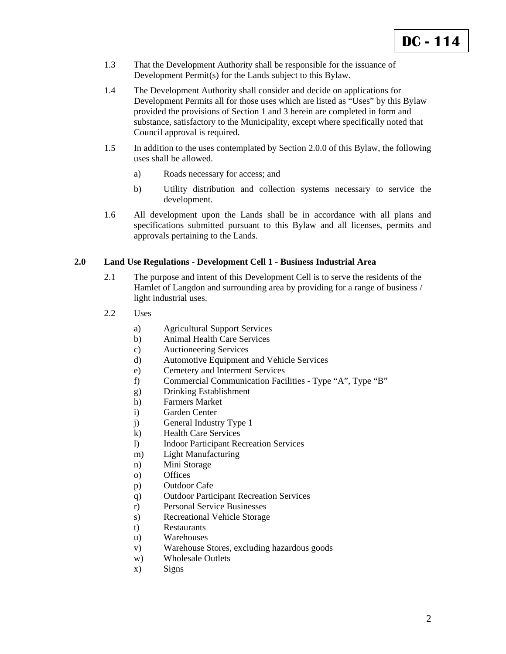- 1.3 That the Development Authority shall be responsible for the issuance of Development Permit(s) for the Lands subject to this Bylaw.
- 1.4 The Development Authority shall consider and decide on applications for Development Permits all for those uses which are listed as "Uses" by this Bylaw provided the provisions of Section 1 and 3 herein are completed in form and substance, satisfactory to the Municipality, except where specifically noted that Council approval is required.
- 1.5 In addition to the uses contemplated by Section 2.0.0 of this Bylaw, the following uses shall be allowed.
	- a) Roads necessary for access; and
	- b) Utility distribution and collection systems necessary to service the development.
- 1.6 All development upon the Lands shall be in accordance with all plans and specifications submitted pursuant to this Bylaw and all licenses, permits and approvals pertaining to the Lands.

## **2.0 Land Use Regulations** - **Development Cell 1** - **Business Industrial Area**

- 2.1 The purpose and intent of this Development Cell is to serve the residents of the Hamlet of Langdon and surrounding area by providing for a range of business / light industrial uses.
- 2.2 Uses
	- a) Agricultural Support Services
	- b) Animal Health Care Services
	- c) Auctioneering Services
	- d) Automotive Equipment and Vehicle Services
	- e) Cemetery and Interment Services
	- f) Commercial Communication Facilities Type "A", Type "B"
	- g) Drinking Establishment
	- h) Farmers Market
	- i) Garden Center
	- j) General Industry Type 1
	- k) Health Care Services
	- l) Indoor Participant Recreation Services
	- m) Light Manufacturing
	- n) Mini Storage
	- o) Offices
	- p) Outdoor Cafe
	- q) Outdoor Participant Recreation Services
	- r) Personal Service Businesses
	- s) Recreational Vehicle Storage
	- t) Restaurants
	- u) Warehouses
	- v) Warehouse Stores, excluding hazardous goods
	- w) Wholesale Outlets
	- x) Signs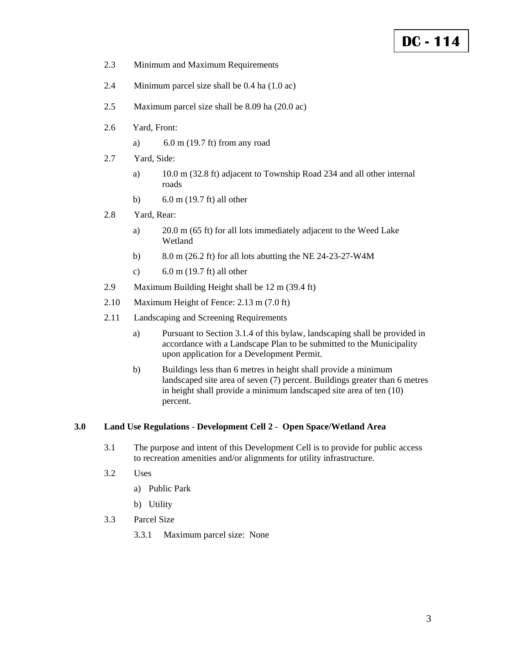# **DC - 114**

- 2.3 Minimum and Maximum Requirements
- 2.4 Minimum parcel size shall be 0.4 ha (1.0 ac)
- 2.5 Maximum parcel size shall be 8.09 ha (20.0 ac)
- 2.6 Yard, Front:
	- a) 6.0 m (19.7 ft) from any road
- 2.7 Yard, Side:
	- a) 10.0 m (32.8 ft) adjacent to Township Road 234 and all other internal roads
	- b) 6.0 m (19.7 ft) all other
- 2.8 Yard, Rear:
	- a) 20.0 m (65 ft) for all lots immediately adjacent to the Weed Lake Wetland
	- b) 8.0 m (26.2 ft) for all lots abutting the NE 24-23-27-W4M
	- c) 6.0 m (19.7 ft) all other
- 2.9 Maximum Building Height shall be 12 m (39.4 ft)
- 2.10 Maximum Height of Fence: 2.13 m (7.0 ft)
- 2.11 Landscaping and Screening Requirements
	- a) Pursuant to Section 3.1.4 of this bylaw, landscaping shall be provided in accordance with a Landscape Plan to be submitted to the Municipality upon application for a Development Permit.
	- b) Buildings less than 6 metres in height shall provide a minimum landscaped site area of seven (7) percent. Buildings greater than 6 metres in height shall provide a minimum landscaped site area of ten (10) percent.

# **3.0 Land Use Regulations** - **Development Cell 2** - **Open Space/Wetland Area**

- 3.1 The purpose and intent of this Development Cell is to provide for public access to recreation amenities and/or alignments for utility infrastructure.
- 3.2 Uses
	- a) Public Park
	- b) Utility
- 3.3 Parcel Size
	- 3.3.1 Maximum parcel size: None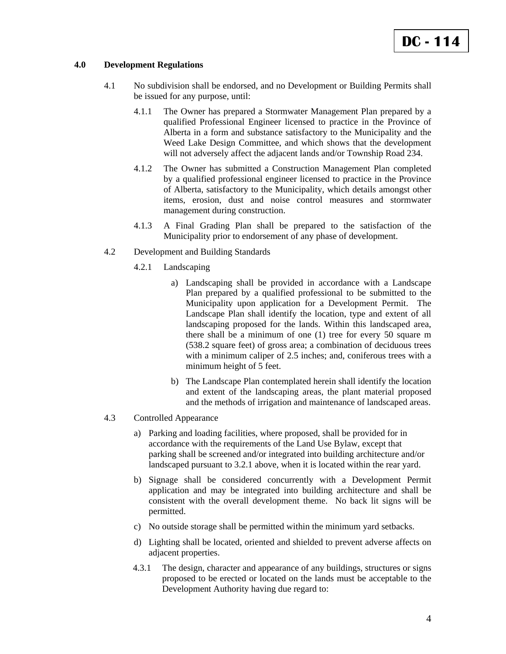### **4.0 Development Regulations**

- 4.1 No subdivision shall be endorsed, and no Development or Building Permits shall be issued for any purpose, until:
	- 4.1.1 The Owner has prepared a Stormwater Management Plan prepared by a qualified Professional Engineer licensed to practice in the Province of Alberta in a form and substance satisfactory to the Municipality and the Weed Lake Design Committee, and which shows that the development will not adversely affect the adjacent lands and/or Township Road 234.
	- 4.1.2 The Owner has submitted a Construction Management Plan completed by a qualified professional engineer licensed to practice in the Province of Alberta, satisfactory to the Municipality, which details amongst other items, erosion, dust and noise control measures and stormwater management during construction.
	- 4.1.3 A Final Grading Plan shall be prepared to the satisfaction of the Municipality prior to endorsement of any phase of development.
- 4.2 Development and Building Standards
	- 4.2.1 Landscaping
		- a) Landscaping shall be provided in accordance with a Landscape Plan prepared by a qualified professional to be submitted to the Municipality upon application for a Development Permit. The Landscape Plan shall identify the location, type and extent of all landscaping proposed for the lands. Within this landscaped area, there shall be a minimum of one (1) tree for every 50 square m (538.2 square feet) of gross area; a combination of deciduous trees with a minimum caliper of 2.5 inches; and, coniferous trees with a minimum height of 5 feet.
		- b) The Landscape Plan contemplated herein shall identify the location and extent of the landscaping areas, the plant material proposed and the methods of irrigation and maintenance of landscaped areas.
- 4.3 Controlled Appearance
	- a) Parking and loading facilities, where proposed, shall be provided for in accordance with the requirements of the Land Use Bylaw, except that parking shall be screened and/or integrated into building architecture and/or landscaped pursuant to 3.2.1 above, when it is located within the rear yard.
	- b) Signage shall be considered concurrently with a Development Permit application and may be integrated into building architecture and shall be consistent with the overall development theme. No back lit signs will be permitted.
	- c) No outside storage shall be permitted within the minimum yard setbacks.
	- d) Lighting shall be located, oriented and shielded to prevent adverse affects on adjacent properties.
	- 4.3.1 The design, character and appearance of any buildings, structures or signs proposed to be erected or located on the lands must be acceptable to the Development Authority having due regard to: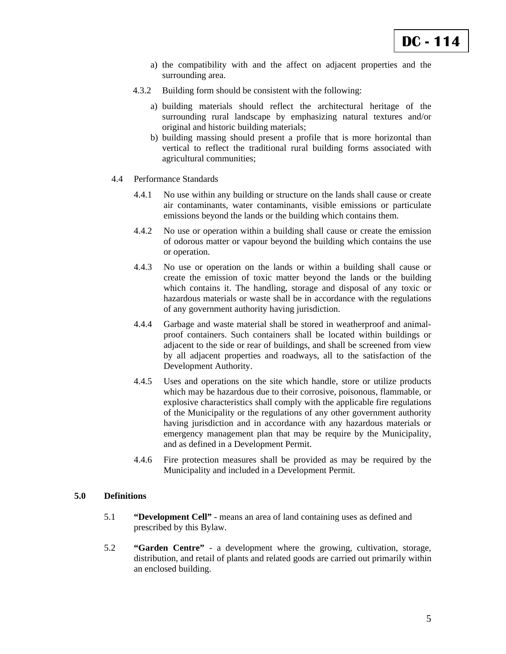- a) the compatibility with and the affect on adjacent properties and the surrounding area.
- 4.3.2 Building form should be consistent with the following:
	- a) building materials should reflect the architectural heritage of the surrounding rural landscape by emphasizing natural textures and/or original and historic building materials;
	- b) building massing should present a profile that is more horizontal than vertical to reflect the traditional rural building forms associated with agricultural communities;
- 4.4 Performance Standards
	- 4.4.1 No use within any building or structure on the lands shall cause or create air contaminants, water contaminants, visible emissions or particulate emissions beyond the lands or the building which contains them.
	- 4.4.2 No use or operation within a building shall cause or create the emission of odorous matter or vapour beyond the building which contains the use or operation.
	- 4.4.3 No use or operation on the lands or within a building shall cause or create the emission of toxic matter beyond the lands or the building which contains it. The handling, storage and disposal of any toxic or hazardous materials or waste shall be in accordance with the regulations of any government authority having jurisdiction.
	- 4.4.4 Garbage and waste material shall be stored in weatherproof and animalproof containers. Such containers shall be located within buildings or adjacent to the side or rear of buildings, and shall be screened from view by all adjacent properties and roadways, all to the satisfaction of the Development Authority.
	- 4.4.5 Uses and operations on the site which handle, store or utilize products which may be hazardous due to their corrosive, poisonous, flammable, or explosive characteristics shall comply with the applicable fire regulations of the Municipality or the regulations of any other government authority having jurisdiction and in accordance with any hazardous materials or emergency management plan that may be require by the Municipality, and as defined in a Development Permit.
	- 4.4.6 Fire protection measures shall be provided as may be required by the Municipality and included in a Development Permit.

#### **5.0 Definitions**

- 5.1 **"Development Cell"** means an area of land containing uses as defined and prescribed by this Bylaw.
- 5.2 **"Garden Centre"**  a development where the growing, cultivation, storage, distribution, and retail of plants and related goods are carried out primarily within an enclosed building.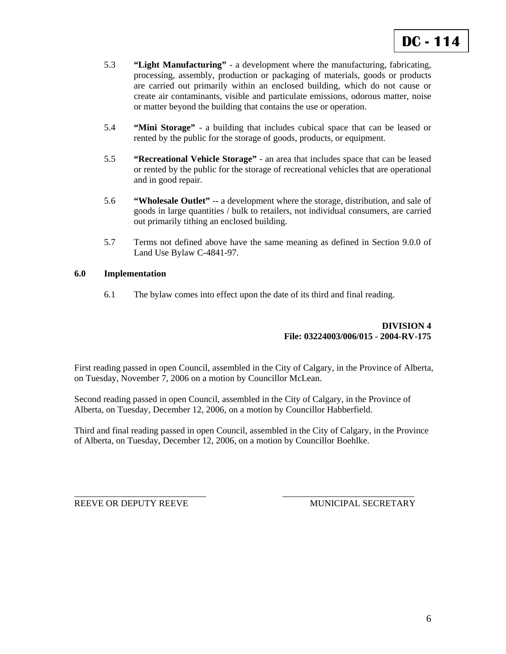- 5.3 **"Light Manufacturing"**  a development where the manufacturing, fabricating, processing, assembly, production or packaging of materials, goods or products are carried out primarily within an enclosed building, which do not cause or create air contaminants, visible and particulate emissions, odorous matter, noise or matter beyond the building that contains the use or operation.
- 5.4 **"Mini Storage"**  a building that includes cubical space that can be leased or rented by the public for the storage of goods, products, or equipment.
- 5.5 **"Recreational Vehicle Storage"**  an area that includes space that can be leased or rented by the public for the storage of recreational vehicles that are operational and in good repair.
- 5.6 **"Wholesale Outlet"** -- a development where the storage, distribution, and sale of goods in large quantities / bulk to retailers, not individual consumers, are carried out primarily tithing an enclosed building.
- 5.7 Terms not defined above have the same meaning as defined in Section 9.0.0 of Land Use Bylaw C-4841-97.

### **6.0 Implementation**

6.1 The bylaw comes into effect upon the date of its third and final reading.

## **DIVISION 4 File: 03224003/006/015** - **2004-RV-175**

First reading passed in open Council, assembled in the City of Calgary, in the Province of Alberta, on Tuesday, November 7, 2006 on a motion by Councillor McLean.

Second reading passed in open Council, assembled in the City of Calgary, in the Province of Alberta, on Tuesday, December 12, 2006, on a motion by Councillor Habberfield.

Third and final reading passed in open Council, assembled in the City of Calgary, in the Province of Alberta, on Tuesday, December 12, 2006, on a motion by Councillor Boehlke.

\_\_\_\_\_\_\_\_\_\_\_\_\_\_\_\_\_\_\_\_\_\_\_\_\_\_\_\_\_ \_\_\_\_\_\_\_\_\_\_\_\_\_\_\_\_\_\_\_\_\_\_\_\_\_\_\_\_\_

REEVE OR DEPUTY REEVE **ALL SECRETARY** MUNICIPAL SECRETARY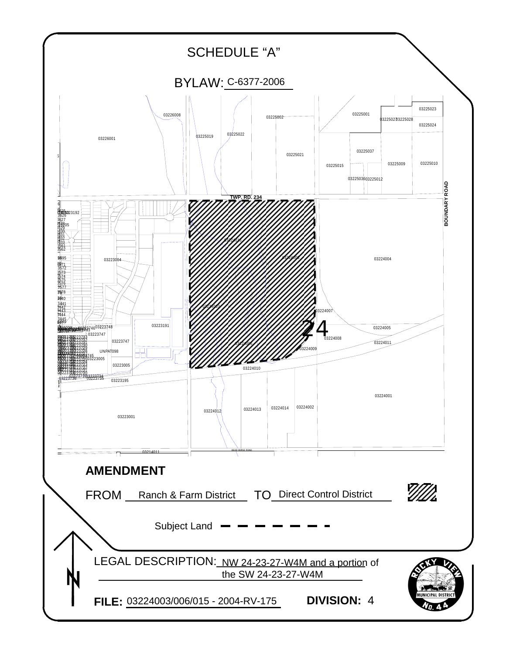